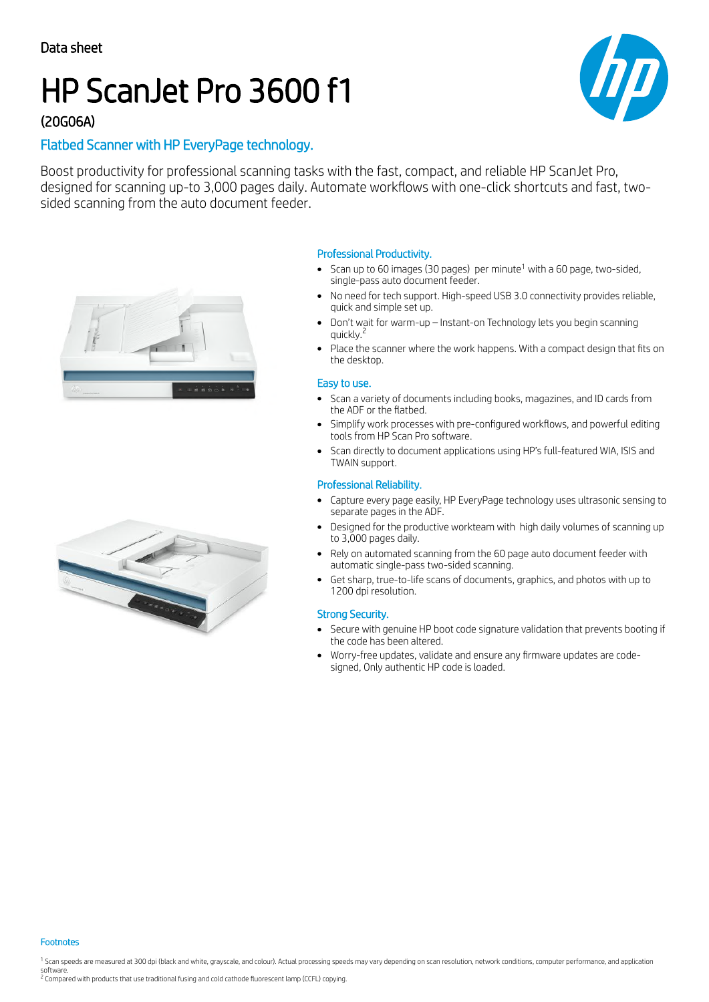# HP ScanJet Pro 3600 f1



## (20G06A)

## Flatbed Scanner with HP EveryPage technology.

Boost productivity for professional scanning tasks with the fast, compact, and reliable HP ScanJet Pro, designed for scanning up-to 3,000 pages daily. Automate workflows with one-click shortcuts and fast, twosided scanning from the auto document feeder.





### Professional Productivity.

- Scan up to 60 images (30 pages) per minute $^1$  with a 60 page, two-sided, single-pass auto document feeder.
- No need for tech support. High-speed USB 3.0 connectivity provides reliable, quick and simple set up.
- Don't wait for warm-up Instant-on Technology lets you begin scanning quickly.<sup>2</sup>
- Place the scanner where the work happens. With a compact design that fits on the desktop.

#### Easy to use.

- Scan a variety of documents including books, magazines, and ID cards from  $\bullet$ the ADF or the flatbed.
- Simplify work processes with pre-configured workflows, and powerful editing tools from HP Scan Pro software.
- Scan directly to document applications using HP's full-featured WIA, ISIS and TWAIN support.

#### Professional Reliability.

- Capture every page easily, HP EveryPage technology uses ultrasonic sensing to  $\bullet$ separate pages in the ADF.
- Designed for the productive workteam with high daily volumes of scanning up to 3,000 pages daily.
- Rely on automated scanning from the 60 page auto document feeder with automatic single-pass two-sided scanning.
- Get sharp, true-to-life scans of documents, graphics, and photos with up to  $\bullet$ 1200 dpi resolution.

### Strong Security.

- Secure with genuine HP boot code signature validation that prevents booting if the code has been altered.
- Worry-free updates, validate and ensure any firmware updates are codesigned, Only authentic HP code is loaded.

Footnotes

<sup>1</sup> Scan speeds are measured at 300 dpi (black and white, grayscale, and colour). Actual processing speeds may vary depending on scan resolution, network conditions, computer performance, and application